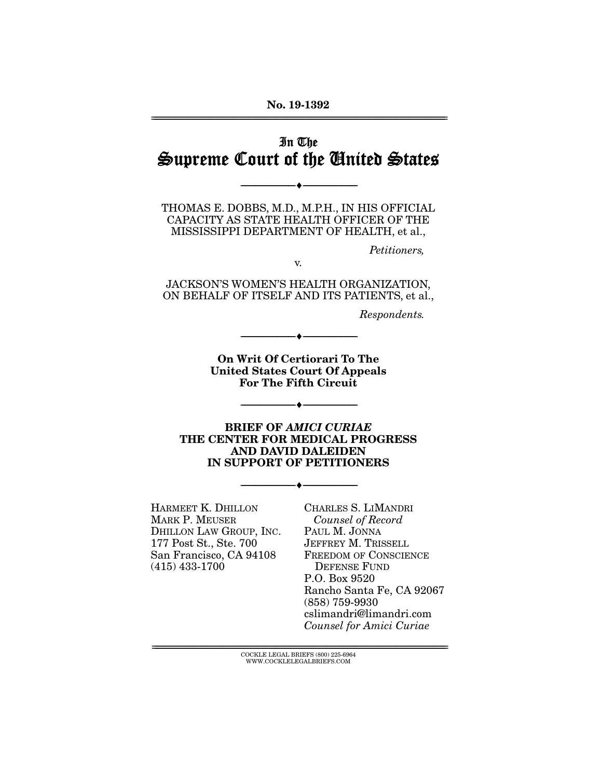#### **No. 19-1392**  ================================================================================================================

# In The Supreme Court of the United States

--------------------------------- ♦ ---------------------------------

THOMAS E. DOBBS, M.D., M.P.H., IN HIS OFFICIAL CAPACITY AS STATE HEALTH OFFICER OF THE MISSISSIPPI DEPARTMENT OF HEALTH, et al.,

Petitioners,

v.

JACKSON'S WOMEN'S HEALTH ORGANIZATION, ON BEHALF OF ITSELF AND ITS PATIENTS, et al.,

Respondents.

**On Writ Of Certiorari To The United States Court Of Appeals For The Fifth Circuit** 

--------------------------------- ♦ ---------------------------------

--------------------------------- ♦ ---------------------------------

**BRIEF OF** *AMICI CURIAE*  **THE CENTER FOR MEDICAL PROGRESS AND DAVID DALEIDEN IN SUPPORT OF PETITIONERS** 

--------------------------------- ♦ ---------------------------------

HARMEET K. DHILLON MARK P. MEUSER DHILLON LAW GROUP, INC. 177 Post St., Ste. 700 San Francisco, CA 94108 (415) 433-1700

CHARLES S. LIMANDRI Counsel of Record PAUL M. JONNA JEFFREY M. TRISSELL FREEDOM OF CONSCIENCE DEFENSE FUND P.O. Box 9520 Rancho Santa Fe, CA 92067 (858) 759-9930 cslimandri@limandri.com Counsel for Amici Curiae

================================================================================================================ COCKLE LEGAL BRIEFS (800) 225-6964 WWW.COCKLELEGALBRIEFS.COM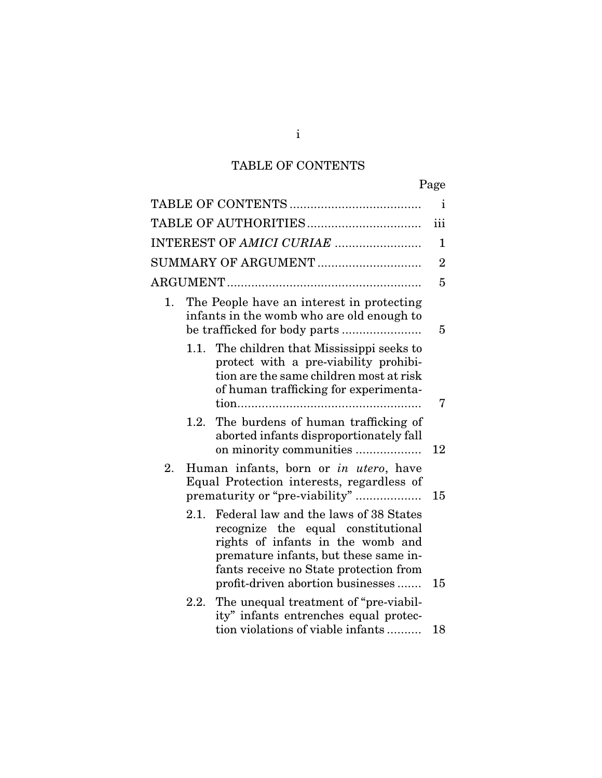# TABLE OF CONTENTS

|                                                                                                                                                                                                                                                  | Page           |
|--------------------------------------------------------------------------------------------------------------------------------------------------------------------------------------------------------------------------------------------------|----------------|
|                                                                                                                                                                                                                                                  | i              |
|                                                                                                                                                                                                                                                  | iii            |
| INTEREST OF AMICI CURIAE                                                                                                                                                                                                                         | 1              |
| SUMMARY OF ARGUMENT                                                                                                                                                                                                                              | $\overline{2}$ |
|                                                                                                                                                                                                                                                  | 5              |
| The People have an interest in protecting<br>1.<br>infants in the womb who are old enough to                                                                                                                                                     | 5              |
| 1.1. The children that Mississippi seeks to<br>protect with a pre-viability prohibi-<br>tion are the same children most at risk<br>of human trafficking for experimenta-                                                                         | 7              |
| The burdens of human trafficking of<br>1.2.<br>aborted infants disproportionately fall<br>on minority communities                                                                                                                                | 12             |
| 2.<br>Human infants, born or in utero, have<br>Equal Protection interests, regardless of<br>prematurity or "pre-viability"                                                                                                                       | 15             |
| Federal law and the laws of 38 States<br>2.1.<br>recognize the equal constitutional<br>rights of infants in the womb and<br>premature infants, but these same in-<br>fants receive no State protection from<br>profit-driven abortion businesses | 15             |
| The unequal treatment of "pre-viabil-<br>2.2.<br>ity" infants entrenches equal protec-<br>tion violations of viable infants                                                                                                                      | 18             |

i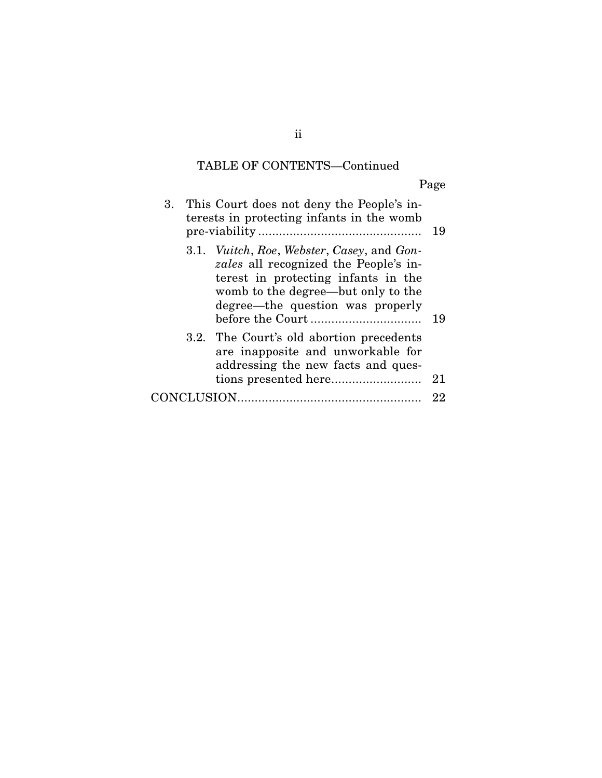# TABLE OF CONTENTS—Continued

Page

| 3. | This Court does not deny the People's in-<br>terests in protecting infants in the womb                                                                                                                      | 19 |
|----|-------------------------------------------------------------------------------------------------------------------------------------------------------------------------------------------------------------|----|
|    | 3.1. Vuitch, Roe, Webster, Casey, and Gon-<br><i>zales</i> all recognized the People's in-<br>terest in protecting infants in the<br>womb to the degree—but only to the<br>degree—the question was properly | 19 |
|    | 3.2. The Court's old abortion precedents<br>are inapposite and unworkable for<br>addressing the new facts and ques-                                                                                         | 21 |
|    | <b>ICLUSION.</b>                                                                                                                                                                                            | 22 |

ii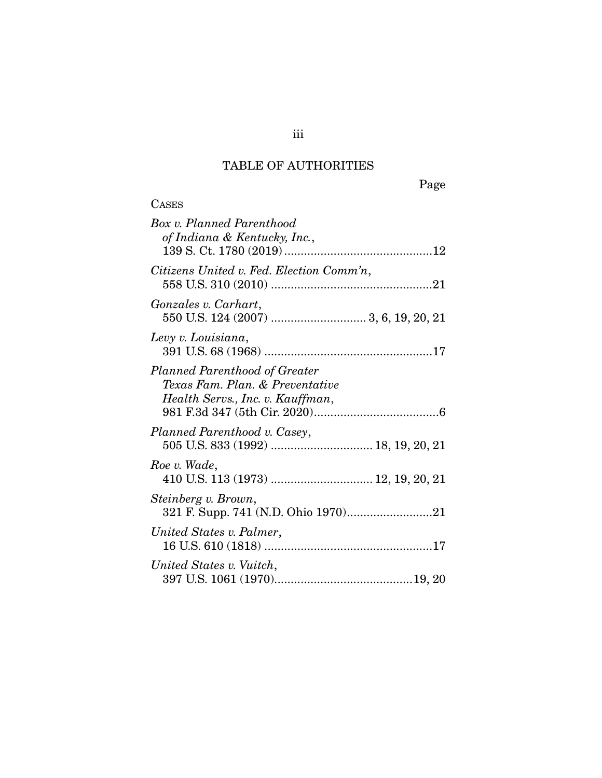# TABLE OF AUTHORITIES

Page

| <b>CASES</b>                                                                                         |
|------------------------------------------------------------------------------------------------------|
| Box v. Planned Parenthood<br>of Indiana & Kentucky, Inc.,                                            |
| Citizens United v. Fed. Election Comm'n,                                                             |
| Gonzales v. Carhart,                                                                                 |
| Levy v. Louisiana,                                                                                   |
| Planned Parenthood of Greater<br>Texas Fam. Plan. & Preventative<br>Health Servs., Inc. v. Kauffman, |
| Planned Parenthood v. Casey,                                                                         |
| Roe v. Wade,<br>410 U.S. 113 (1973)  12, 19, 20, 21                                                  |
| Steinberg v. Brown,                                                                                  |
| United States v. Palmer,                                                                             |
| United States v. Vuitch,                                                                             |

iii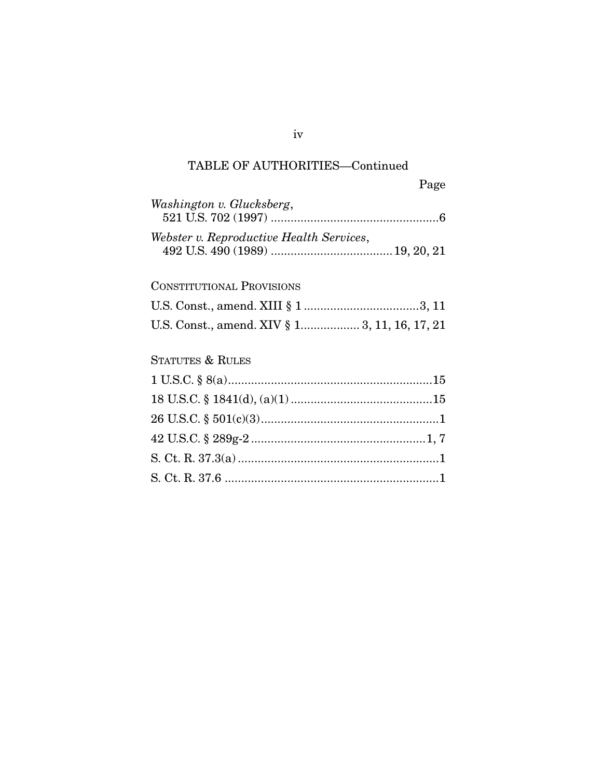# TABLE OF AUTHORITIES—Continued

Page

| Washington v. Glucksberg,                     |  |
|-----------------------------------------------|--|
| Webster v. Reproductive Health Services,      |  |
| <b>CONSTITUTIONAL PROVISIONS</b>              |  |
|                                               |  |
| U.S. Const., amend. XIV § 1 3, 11, 16, 17, 21 |  |
| <b>STATUTES &amp; RULES</b>                   |  |
|                                               |  |

18 U.S.C. § 1841(d), (a)(1) ........................................... 15 26 U.S.C. § 501(c)(3) ...................................................... 1 42 U.S.C. § 289g-2 ..................................................... 1, 7 S. Ct. R. 37.3(a) ............................................................. 1 S. Ct. R. 37.6 ................................................................. 1

#### iv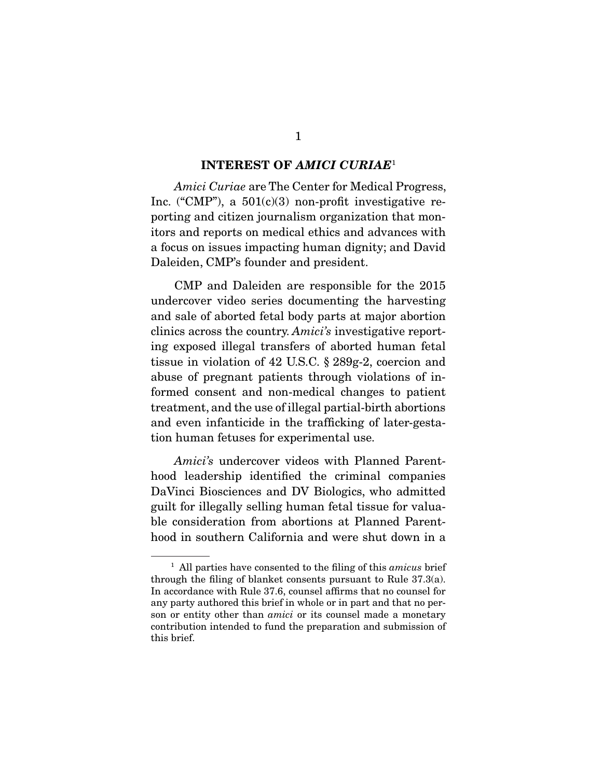#### **INTEREST OF** *AMICI CURIAE*<sup>1</sup>

Amici Curiae are The Center for Medical Progress, Inc. ("CMP"), a  $501(c)(3)$  non-profit investigative reporting and citizen journalism organization that monitors and reports on medical ethics and advances with a focus on issues impacting human dignity; and David Daleiden, CMP's founder and president.

 CMP and Daleiden are responsible for the 2015 undercover video series documenting the harvesting and sale of aborted fetal body parts at major abortion clinics across the country. Amici's investigative reporting exposed illegal transfers of aborted human fetal tissue in violation of 42 U.S.C. § 289g-2, coercion and abuse of pregnant patients through violations of informed consent and non-medical changes to patient treatment, and the use of illegal partial-birth abortions and even infanticide in the trafficking of later-gestation human fetuses for experimental use.

Amici's undercover videos with Planned Parenthood leadership identified the criminal companies DaVinci Biosciences and DV Biologics, who admitted guilt for illegally selling human fetal tissue for valuable consideration from abortions at Planned Parenthood in southern California and were shut down in a

 $<sup>1</sup>$  All parties have consented to the filing of this amicus brief</sup> through the filing of blanket consents pursuant to Rule 37.3(a). In accordance with Rule 37.6, counsel affirms that no counsel for any party authored this brief in whole or in part and that no person or entity other than *amici* or its counsel made a monetary contribution intended to fund the preparation and submission of this brief.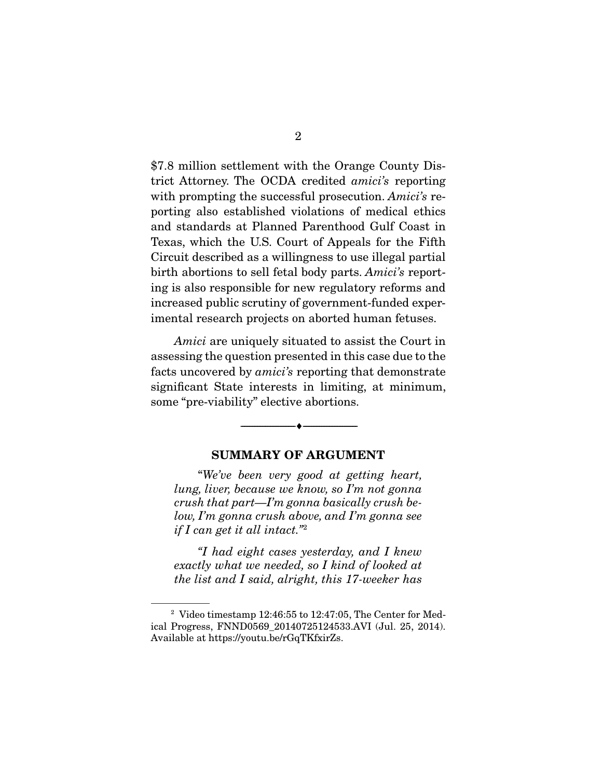\$7.8 million settlement with the Orange County District Attorney. The OCDA credited amici's reporting with prompting the successful prosecution. Amici's reporting also established violations of medical ethics and standards at Planned Parenthood Gulf Coast in Texas, which the U.S. Court of Appeals for the Fifth Circuit described as a willingness to use illegal partial birth abortions to sell fetal body parts. Amici's reporting is also responsible for new regulatory reforms and increased public scrutiny of government-funded experimental research projects on aborted human fetuses.

Amici are uniquely situated to assist the Court in assessing the question presented in this case due to the facts uncovered by amici's reporting that demonstrate significant State interests in limiting, at minimum, some "pre-viability" elective abortions.

#### **SUMMARY OF ARGUMENT**

--------------------------------- ♦ ---------------------------------

 "We've been very good at getting heart, lung, liver, because we know, so I'm not gonna crush that part—I'm gonna basically crush below, I'm gonna crush above, and I'm gonna see if I can get it all intact."<sup>2</sup>

"I had eight cases yesterday, and I knew exactly what we needed, so I kind of looked at the list and I said, alright, this 17-weeker has

 $2$  Video timestamp 12:46:55 to 12:47:05, The Center for Medical Progress, FNND0569\_20140725124533.AVI (Jul. 25, 2014). Available at https://youtu.be/rGqTKfxirZs.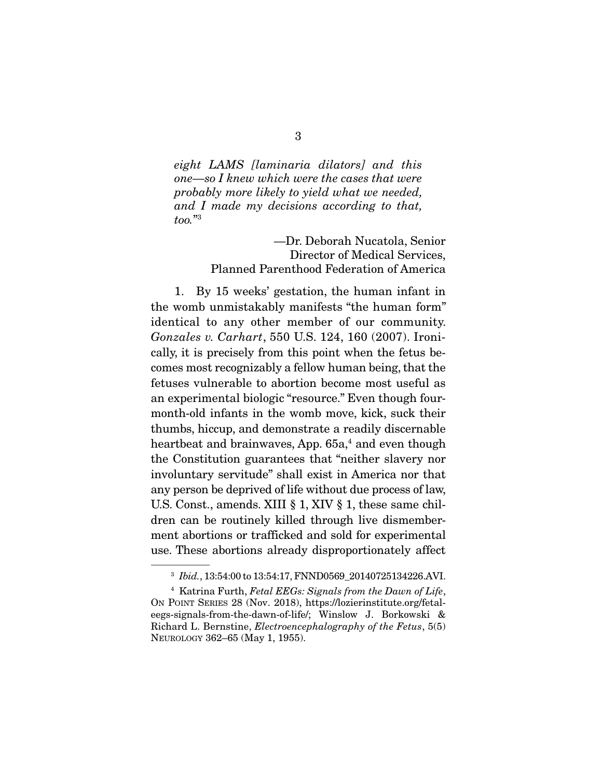eight LAMS [laminaria dilators] and this one—so I knew which were the cases that were probably more likely to yield what we needed, and I made my decisions according to that, too."3

> —Dr. Deborah Nucatola, Senior Director of Medical Services, Planned Parenthood Federation of America

 1. By 15 weeks' gestation, the human infant in the womb unmistakably manifests "the human form" identical to any other member of our community. Gonzales v. Carhart, 550 U.S. 124, 160 (2007). Ironically, it is precisely from this point when the fetus becomes most recognizably a fellow human being, that the fetuses vulnerable to abortion become most useful as an experimental biologic "resource." Even though fourmonth-old infants in the womb move, kick, suck their thumbs, hiccup, and demonstrate a readily discernable heartbeat and brainwaves. App. 65a.<sup>4</sup> and even though the Constitution guarantees that "neither slavery nor involuntary servitude" shall exist in America nor that any person be deprived of life without due process of law, U.S. Const., amends. XIII § 1, XIV § 1, these same children can be routinely killed through live dismemberment abortions or trafficked and sold for experimental use. These abortions already disproportionately affect

<sup>&</sup>lt;sup>3</sup> Ibid., 13:54:00 to 13:54:17, FNND0569 20140725134226.AVI.

 $4$  Katrina Furth, Fetal EEGs: Signals from the Dawn of Life, ON POINT SERIES 28 (Nov. 2018), https://lozierinstitute.org/fetaleegs-signals-from-the-dawn-of-life/; Winslow J. Borkowski & Richard L. Bernstine, Electroencephalography of the Fetus, 5(5) NEUROLOGY 362–65 (May 1, 1955).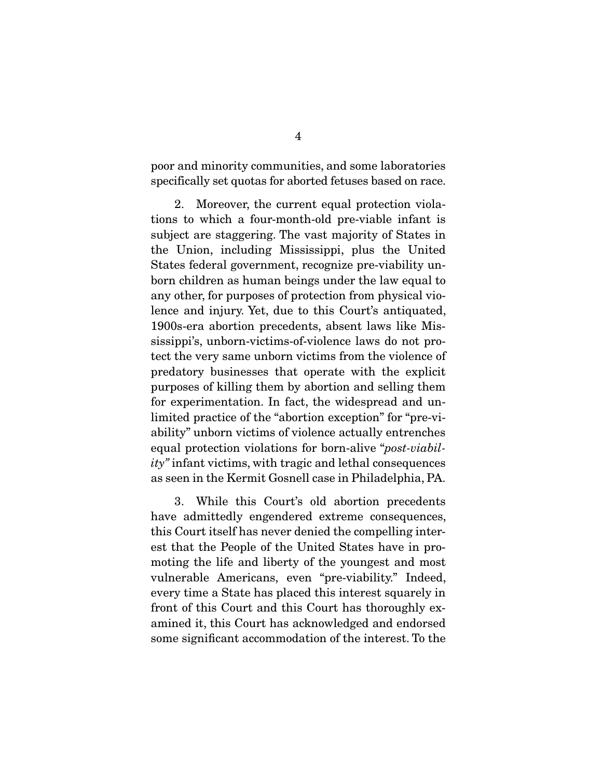poor and minority communities, and some laboratories specifically set quotas for aborted fetuses based on race.

 2. Moreover, the current equal protection violations to which a four-month-old pre-viable infant is subject are staggering. The vast majority of States in the Union, including Mississippi, plus the United States federal government, recognize pre-viability unborn children as human beings under the law equal to any other, for purposes of protection from physical violence and injury. Yet, due to this Court's antiquated, 1900s-era abortion precedents, absent laws like Mississippi's, unborn-victims-of-violence laws do not protect the very same unborn victims from the violence of predatory businesses that operate with the explicit purposes of killing them by abortion and selling them for experimentation. In fact, the widespread and unlimited practice of the "abortion exception" for "pre-viability" unborn victims of violence actually entrenches equal protection violations for born-alive "post-viability" infant victims, with tragic and lethal consequences as seen in the Kermit Gosnell case in Philadelphia, PA.

 3. While this Court's old abortion precedents have admittedly engendered extreme consequences, this Court itself has never denied the compelling interest that the People of the United States have in promoting the life and liberty of the youngest and most vulnerable Americans, even "pre-viability." Indeed, every time a State has placed this interest squarely in front of this Court and this Court has thoroughly examined it, this Court has acknowledged and endorsed some significant accommodation of the interest. To the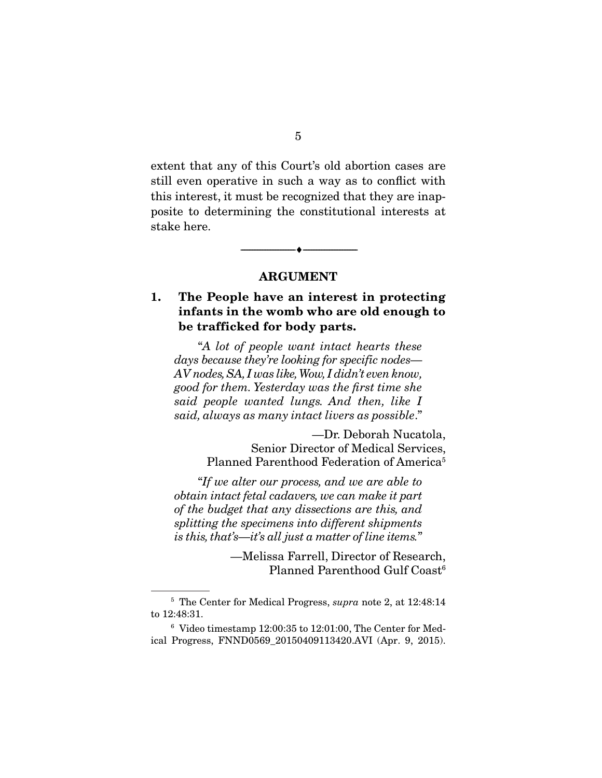extent that any of this Court's old abortion cases are still even operative in such a way as to conflict with this interest, it must be recognized that they are inapposite to determining the constitutional interests at stake here.

#### **ARGUMENT**

--------------------------------- ♦ ---------------------------------

# **1. The People have an interest in protecting infants in the womb who are old enough to be trafficked for body parts.**

 "A lot of people want intact hearts these days because they're looking for specific nodes— AV nodes, SA, I was like, Wow, I didn't even know, good for them. Yesterday was the first time she said people wanted lungs. And then, like I said, always as many intact livers as possible."

> —Dr. Deborah Nucatola, Senior Director of Medical Services, Planned Parenthood Federation of America<sup>5</sup>

 "If we alter our process, and we are able to obtain intact fetal cadavers, we can make it part of the budget that any dissections are this, and splitting the specimens into different shipments is this, that's—it's all just a matter of line items."

> —Melissa Farrell, Director of Research, Planned Parenthood Gulf Coast<sup>6</sup>

<sup>&</sup>lt;sup>5</sup> The Center for Medical Progress, *supra* note 2, at 12:48:14 to 12:48:31.

 $6$  Video timestamp 12:00:35 to 12:01:00, The Center for Medical Progress, FNND0569\_20150409113420.AVI (Apr. 9, 2015).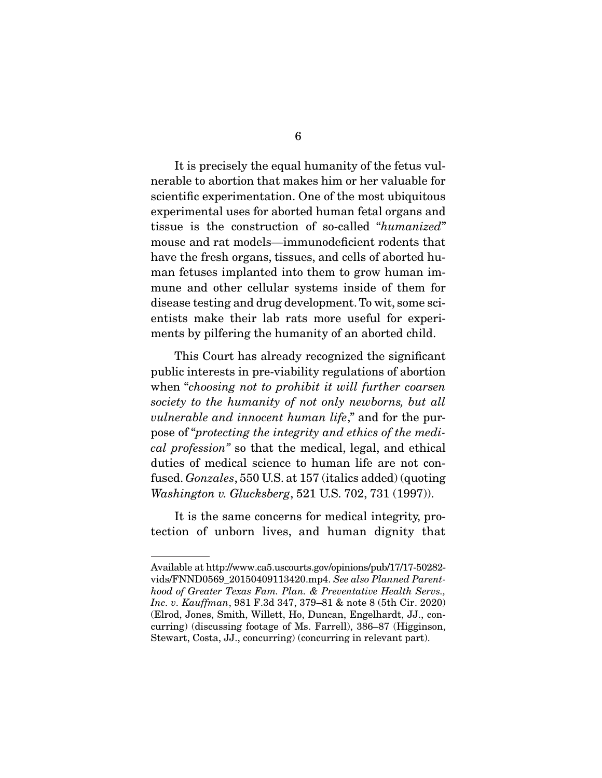It is precisely the equal humanity of the fetus vul-

nerable to abortion that makes him or her valuable for scientific experimentation. One of the most ubiquitous experimental uses for aborted human fetal organs and tissue is the construction of so-called "humanized" mouse and rat models—immunodeficient rodents that have the fresh organs, tissues, and cells of aborted human fetuses implanted into them to grow human immune and other cellular systems inside of them for disease testing and drug development. To wit, some scientists make their lab rats more useful for experiments by pilfering the humanity of an aborted child.

 This Court has already recognized the significant public interests in pre-viability regulations of abortion when "choosing not to prohibit it will further coarsen society to the humanity of not only newborns, but all vulnerable and innocent human life," and for the purpose of "protecting the integrity and ethics of the medical profession" so that the medical, legal, and ethical duties of medical science to human life are not confused. Gonzales, 550 U.S. at 157 (italics added) (quoting Washington v. Glucksberg, 521 U.S. 702, 731 (1997)).

 It is the same concerns for medical integrity, protection of unborn lives, and human dignity that

Available at http://www.ca5.uscourts.gov/opinions/pub/17/17-50282 vids/FNND0569\_20150409113420.mp4. See also Planned Parenthood of Greater Texas Fam. Plan. & Preventative Health Servs., Inc. v. Kauffman, 981 F.3d 347, 379–81 & note 8 (5th Cir. 2020) (Elrod, Jones, Smith, Willett, Ho, Duncan, Engelhardt, JJ., concurring) (discussing footage of Ms. Farrell), 386–87 (Higginson, Stewart, Costa, JJ., concurring) (concurring in relevant part).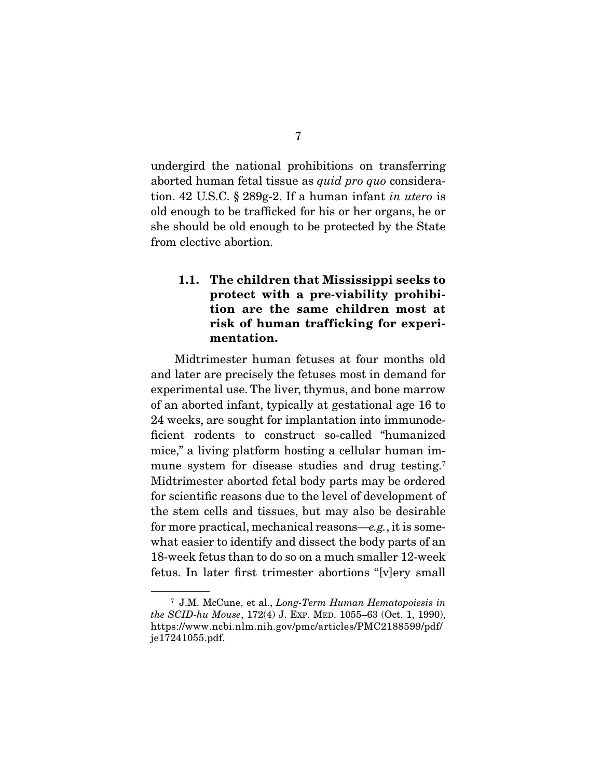undergird the national prohibitions on transferring aborted human fetal tissue as quid pro quo consideration. 42 U.S.C. § 289g-2. If a human infant in utero is old enough to be trafficked for his or her organs, he or she should be old enough to be protected by the State from elective abortion.

## **1.1. The children that Mississippi seeks to protect with a pre-viability prohibition are the same children most at risk of human trafficking for experimentation.**

Midtrimester human fetuses at four months old and later are precisely the fetuses most in demand for experimental use. The liver, thymus, and bone marrow of an aborted infant, typically at gestational age 16 to 24 weeks, are sought for implantation into immunodeficient rodents to construct so-called "humanized mice," a living platform hosting a cellular human immune system for disease studies and drug testing.<sup>7</sup> Midtrimester aborted fetal body parts may be ordered for scientific reasons due to the level of development of the stem cells and tissues, but may also be desirable for more practical, mechanical reasons—e.g., it is somewhat easier to identify and dissect the body parts of an 18-week fetus than to do so on a much smaller 12-week fetus. In later first trimester abortions "[v]ery small

<sup>7</sup> J.M. McCune, et al., Long-Term Human Hematopoiesis in the SCID-hu Mouse, 172(4) J. EXP. MED. 1055–63 (Oct. 1, 1990), https://www.ncbi.nlm.nih.gov/pmc/articles/PMC2188599/pdf/ je17241055.pdf.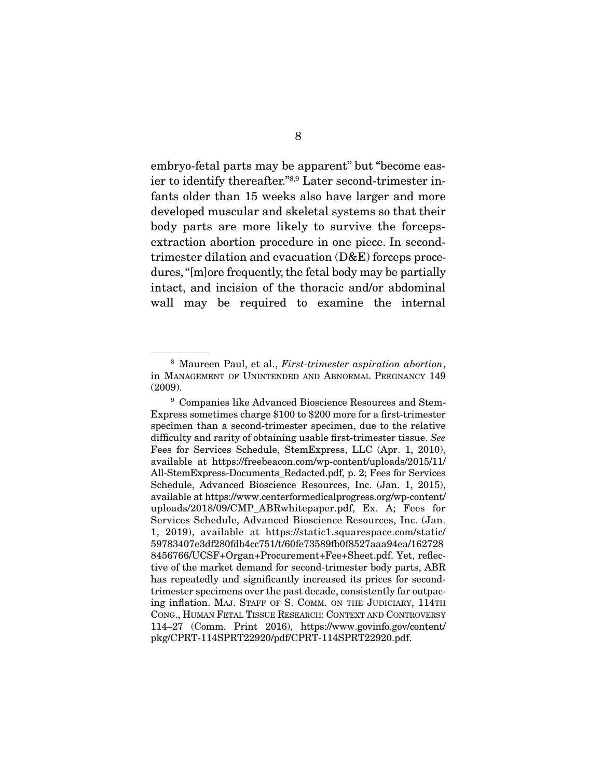embryo-fetal parts may be apparent" but "become easier to identify thereafter."8,9 Later second-trimester infants older than 15 weeks also have larger and more developed muscular and skeletal systems so that their body parts are more likely to survive the forcepsextraction abortion procedure in one piece. In secondtrimester dilation and evacuation (D&E) forceps procedures, "[m]ore frequently, the fetal body may be partially intact, and incision of the thoracic and/or abdominal wall may be required to examine the internal

<sup>&</sup>lt;sup>8</sup> Maureen Paul, et al., *First-trimester aspiration abortion*, in MANAGEMENT OF UNINTENDED AND ABNORMAL PREGNANCY 149 (2009).

<sup>9</sup> Companies like Advanced Bioscience Resources and Stem-Express sometimes charge \$100 to \$200 more for a first-trimester specimen than a second-trimester specimen, due to the relative difficulty and rarity of obtaining usable first-trimester tissue. See Fees for Services Schedule, StemExpress, LLC (Apr. 1, 2010), available at https://freebeacon.com/wp-content/uploads/2015/11/ All-StemExpress-Documents\_Redacted.pdf, p. 2; Fees for Services Schedule, Advanced Bioscience Resources, Inc. (Jan. 1, 2015), available at https://www.centerformedicalprogress.org/wp-content/ uploads/2018/09/CMP\_ABRwhitepaper.pdf, Ex. A; Fees for Services Schedule, Advanced Bioscience Resources, Inc. (Jan. 1, 2019), available at https://static1.squarespace.com/static/ 59783407e3df280fdb4cc751/t/60fe73589fb0f8527aaa94ea/162728 8456766/UCSF+Organ+Procurement+Fee+Sheet.pdf. Yet, reflective of the market demand for second-trimester body parts, ABR has repeatedly and significantly increased its prices for secondtrimester specimens over the past decade, consistently far outpacing inflation. MAJ. STAFF OF S. COMM. ON THE JUDICIARY, 114TH CONG., HUMAN FETAL TISSUE RESEARCH: CONTEXT AND CONTROVERSY 114–27 (Comm. Print 2016), https://www.govinfo.gov/content/ pkg/CPRT-114SPRT22920/pdf/CPRT-114SPRT22920.pdf.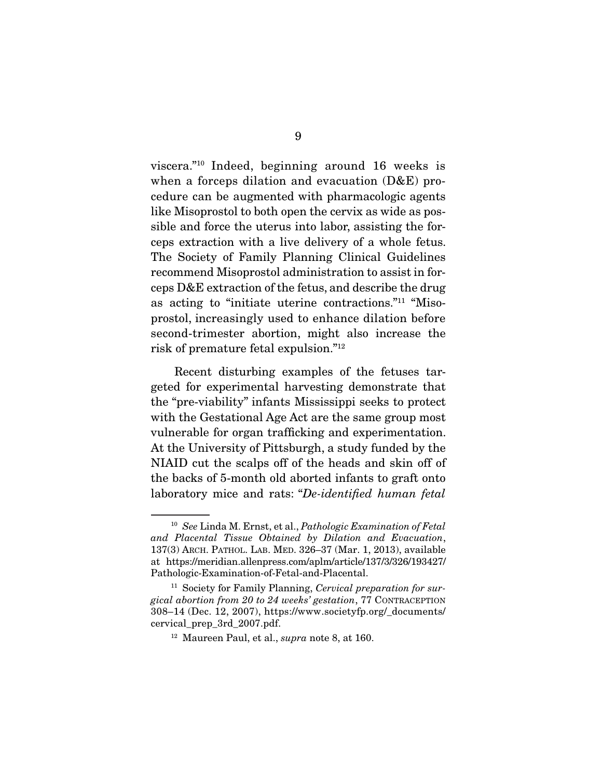viscera."10 Indeed, beginning around 16 weeks is when a forceps dilation and evacuation (D&E) procedure can be augmented with pharmacologic agents like Misoprostol to both open the cervix as wide as possible and force the uterus into labor, assisting the forceps extraction with a live delivery of a whole fetus. The Society of Family Planning Clinical Guidelines recommend Misoprostol administration to assist in forceps D&E extraction of the fetus, and describe the drug as acting to "initiate uterine contractions."11 "Misoprostol, increasingly used to enhance dilation before second-trimester abortion, might also increase the risk of premature fetal expulsion."12

 Recent disturbing examples of the fetuses targeted for experimental harvesting demonstrate that the "pre-viability" infants Mississippi seeks to protect with the Gestational Age Act are the same group most vulnerable for organ trafficking and experimentation. At the University of Pittsburgh, a study funded by the NIAID cut the scalps off of the heads and skin off of the backs of 5-month old aborted infants to graft onto laboratory mice and rats: "De-identified human fetal

 $10$  See Linda M. Ernst, et al., Pathologic Examination of Fetal and Placental Tissue Obtained by Dilation and Evacuation, 137(3) ARCH. PATHOL. LAB. MED. 326–37 (Mar. 1, 2013), available at https://meridian.allenpress.com/aplm/article/137/3/326/193427/ Pathologic-Examination-of-Fetal-and-Placental.

 $11$  Society for Family Planning, Cervical preparation for surgical abortion from 20 to 24 weeks' gestation, 77 CONTRACEPTION 308–14 (Dec. 12, 2007), https://www.societyfp.org/\_documents/ cervical\_prep\_3rd\_2007.pdf.

 $12$  Maureen Paul, et al., *supra* note 8, at 160.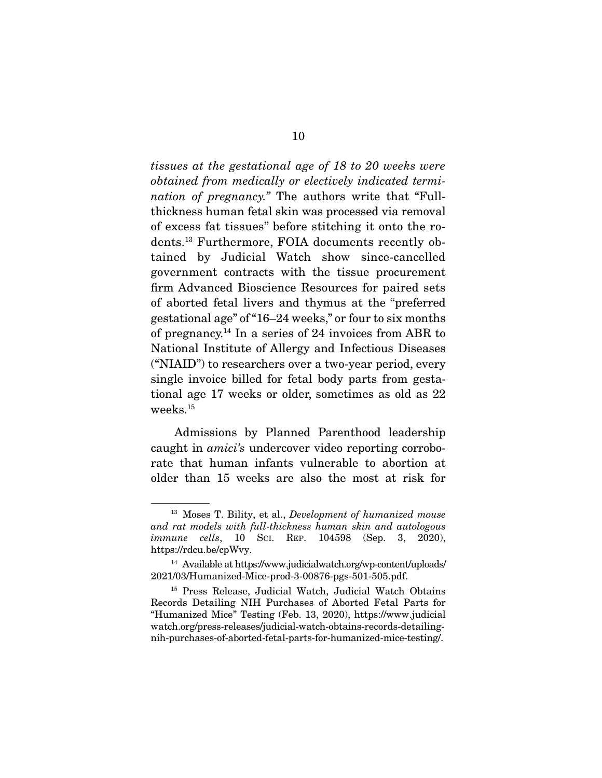tissues at the gestational age of 18 to 20 weeks were obtained from medically or electively indicated termination of pregnancy." The authors write that "Fullthickness human fetal skin was processed via removal of excess fat tissues" before stitching it onto the rodents.13 Furthermore, FOIA documents recently obtained by Judicial Watch show since-cancelled government contracts with the tissue procurement firm Advanced Bioscience Resources for paired sets of aborted fetal livers and thymus at the "preferred gestational age" of "16–24 weeks," or four to six months of pregnancy.<sup>14</sup> In a series of 24 invoices from ABR to National Institute of Allergy and Infectious Diseases ("NIAID") to researchers over a two-year period, every single invoice billed for fetal body parts from gestational age 17 weeks or older, sometimes as old as 22 weeks.15

 Admissions by Planned Parenthood leadership caught in amici's undercover video reporting corroborate that human infants vulnerable to abortion at older than 15 weeks are also the most at risk for

<sup>&</sup>lt;sup>13</sup> Moses T. Bility, et al., *Development of humanized mouse* and rat models with full-thickness human skin and autologous *immune cells*, 10 ScI. REP. 104598 (Sep. 3, 2020), https://rdcu.be/cpWvy.

<sup>14</sup> Available at https://www.judicialwatch.org/wp-content/uploads/ 2021/03/Humanized-Mice-prod-3-00876-pgs-501-505.pdf.

<sup>15</sup> Press Release, Judicial Watch, Judicial Watch Obtains Records Detailing NIH Purchases of Aborted Fetal Parts for "Humanized Mice" Testing (Feb. 13, 2020), https://www.judicial watch.org/press-releases/judicial-watch-obtains-records-detailingnih-purchases-of-aborted-fetal-parts-for-humanized-mice-testing/.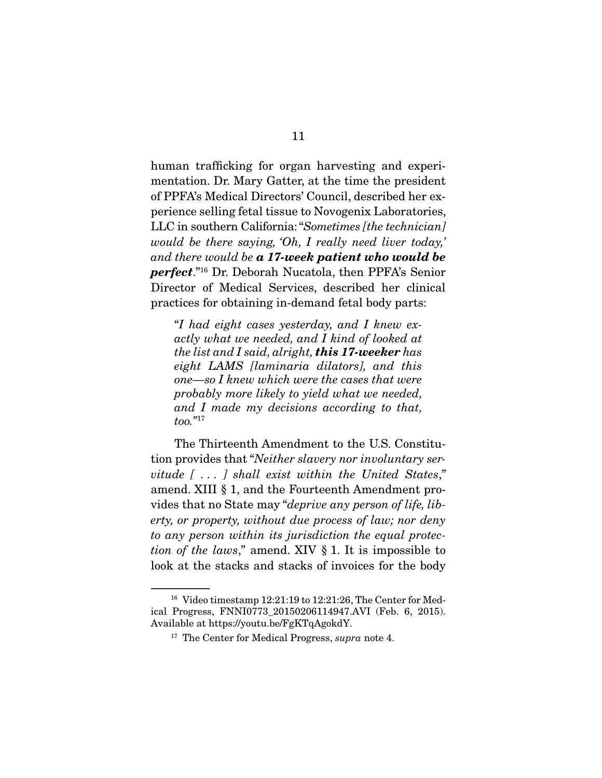human trafficking for organ harvesting and experimentation. Dr. Mary Gatter, at the time the president of PPFA's Medical Directors' Council, described her experience selling fetal tissue to Novogenix Laboratories, LLC in southern California: "Sometimes [the technician] would be there saying, 'Oh, I really need liver today,' and there would be *a 17-week patient who would be perfect*."16 Dr. Deborah Nucatola, then PPFA's Senior Director of Medical Services, described her clinical practices for obtaining in-demand fetal body parts:

"I had eight cases yesterday, and I knew exactly what we needed, and I kind of looked at the list and I said, alright, *this 17-weeker* has eight LAMS [laminaria dilators], and this one—so I knew which were the cases that were probably more likely to yield what we needed, and I made my decisions according to that,  $too.<sup>717</sup>$ 

 The Thirteenth Amendment to the U.S. Constitution provides that "Neither slavery nor involuntary servitude [ . . . ] shall exist within the United States," amend. XIII § 1, and the Fourteenth Amendment provides that no State may "deprive any person of life, liberty, or property, without due process of law; nor deny to any person within its jurisdiction the equal protection of the laws," amend. XIV  $\S$  1. It is impossible to look at the stacks and stacks of invoices for the body

<sup>16</sup> Video timestamp 12:21:19 to 12:21:26, The Center for Medical Progress, FNNI0773\_20150206114947.AVI (Feb. 6, 2015). Available at https://youtu.be/FgKTqAgokdY.

 $17$  The Center for Medical Progress, supra note 4.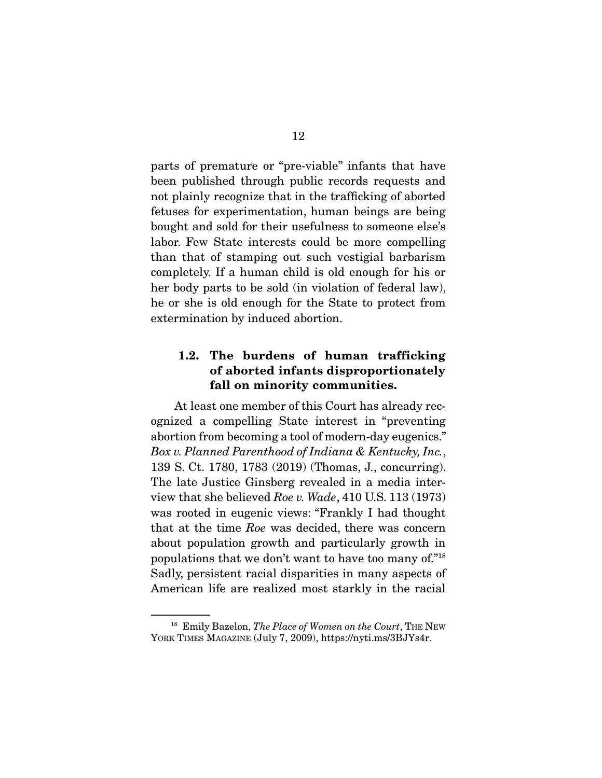parts of premature or "pre-viable" infants that have been published through public records requests and not plainly recognize that in the trafficking of aborted fetuses for experimentation, human beings are being bought and sold for their usefulness to someone else's labor. Few State interests could be more compelling than that of stamping out such vestigial barbarism completely. If a human child is old enough for his or her body parts to be sold (in violation of federal law), he or she is old enough for the State to protect from extermination by induced abortion.

### **1.2. The burdens of human trafficking of aborted infants disproportionately fall on minority communities.**

At least one member of this Court has already recognized a compelling State interest in "preventing abortion from becoming a tool of modern-day eugenics." Box v. Planned Parenthood of Indiana & Kentucky, Inc., 139 S. Ct. 1780, 1783 (2019) (Thomas, J., concurring). The late Justice Ginsberg revealed in a media interview that she believed Roe v. Wade, 410 U.S. 113 (1973) was rooted in eugenic views: "Frankly I had thought that at the time Roe was decided, there was concern about population growth and particularly growth in populations that we don't want to have too many of."18 Sadly, persistent racial disparities in many aspects of American life are realized most starkly in the racial

<sup>&</sup>lt;sup>18</sup> Emily Bazelon, The Place of Women on the Court, THE NEW YORK TIMES MAGAZINE (July 7, 2009), https://nyti.ms/3BJYs4r.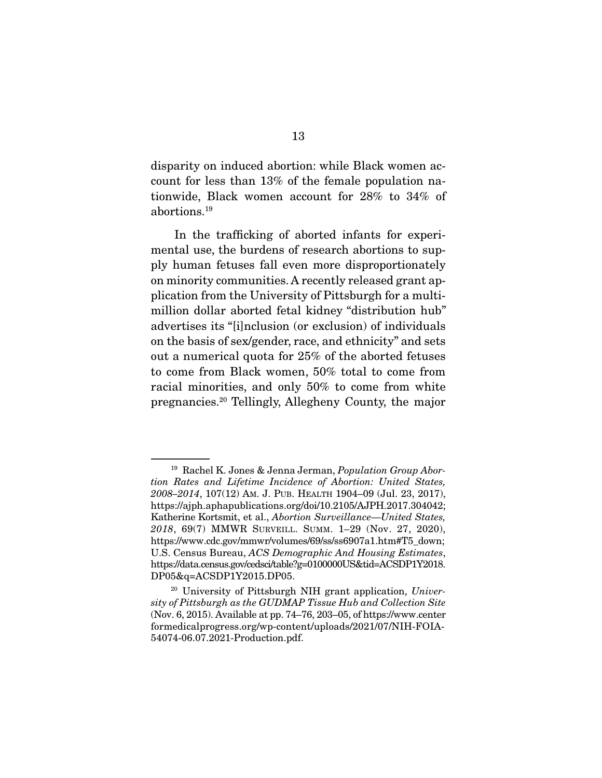disparity on induced abortion: while Black women account for less than 13% of the female population nationwide, Black women account for 28% to 34% of abortions.19

 In the trafficking of aborted infants for experimental use, the burdens of research abortions to supply human fetuses fall even more disproportionately on minority communities. A recently released grant application from the University of Pittsburgh for a multimillion dollar aborted fetal kidney "distribution hub" advertises its "[i]nclusion (or exclusion) of individuals on the basis of sex/gender, race, and ethnicity" and sets out a numerical quota for 25% of the aborted fetuses to come from Black women, 50% total to come from racial minorities, and only 50% to come from white pregnancies.20 Tellingly, Allegheny County, the major

<sup>&</sup>lt;sup>19</sup> Rachel K. Jones & Jenna Jerman, Population Group Abortion Rates and Lifetime Incidence of Abortion: United States, 2008–2014, 107(12) AM. J. PUB. HEALTH 1904–09 (Jul. 23, 2017), https://ajph.aphapublications.org/doi/10.2105/AJPH.2017.304042; Katherine Kortsmit, et al., Abortion Surveillance—United States, 2018, 69(7) MMWR SURVEILL. SUMM. 1–29 (Nov. 27, 2020), https://www.cdc.gov/mmwr/volumes/69/ss/ss6907a1.htm#T5\_down; U.S. Census Bureau, ACS Demographic And Housing Estimates, https://data.census.gov/cedsci/table?g=0100000US&tid=ACSDP1Y2018. DP05&q=ACSDP1Y2015.DP05.

<sup>&</sup>lt;sup>20</sup> University of Pittsburgh NIH grant application, University of Pittsburgh as the GUDMAP Tissue Hub and Collection Site (Nov. 6, 2015). Available at pp. 74–76, 203–05, of https://www.center formedicalprogress.org/wp-content/uploads/2021/07/NIH-FOIA-54074-06.07.2021-Production.pdf.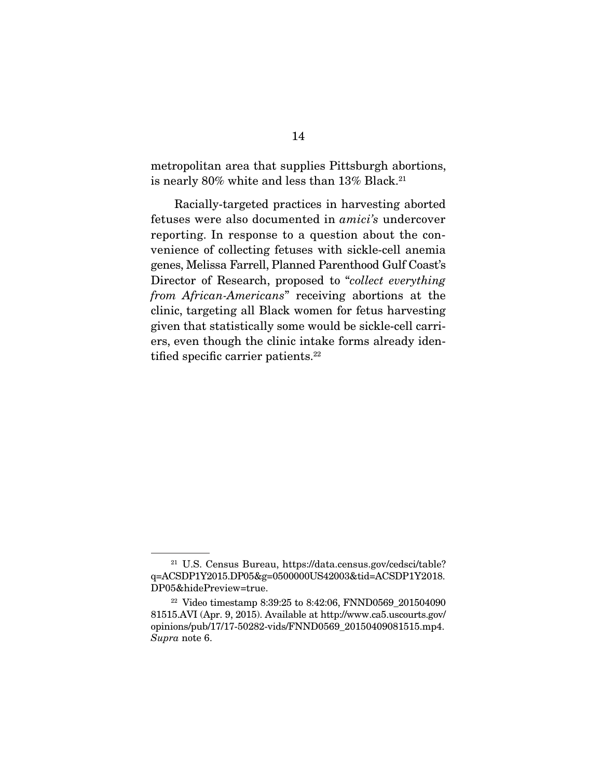metropolitan area that supplies Pittsburgh abortions, is nearly 80% white and less than 13% Black.<sup>21</sup>

 Racially-targeted practices in harvesting aborted fetuses were also documented in amici's undercover reporting. In response to a question about the convenience of collecting fetuses with sickle-cell anemia genes, Melissa Farrell, Planned Parenthood Gulf Coast's Director of Research, proposed to "collect everything from African-Americans" receiving abortions at the clinic, targeting all Black women for fetus harvesting given that statistically some would be sickle-cell carriers, even though the clinic intake forms already identified specific carrier patients.<sup>22</sup>

<sup>21</sup> U.S. Census Bureau, https://data.census.gov/cedsci/table? q=ACSDP1Y2015.DP05&g=0500000US42003&tid=ACSDP1Y2018. DP05&hidePreview=true.

<sup>&</sup>lt;sup>22</sup> Video timestamp 8:39:25 to 8:42:06, FNND0569  $201504090$ 81515.AVI (Apr. 9, 2015). Available at http://www.ca5.uscourts.gov/ opinions/pub/17/17-50282-vids/FNND0569\_20150409081515.mp4. Supra note 6.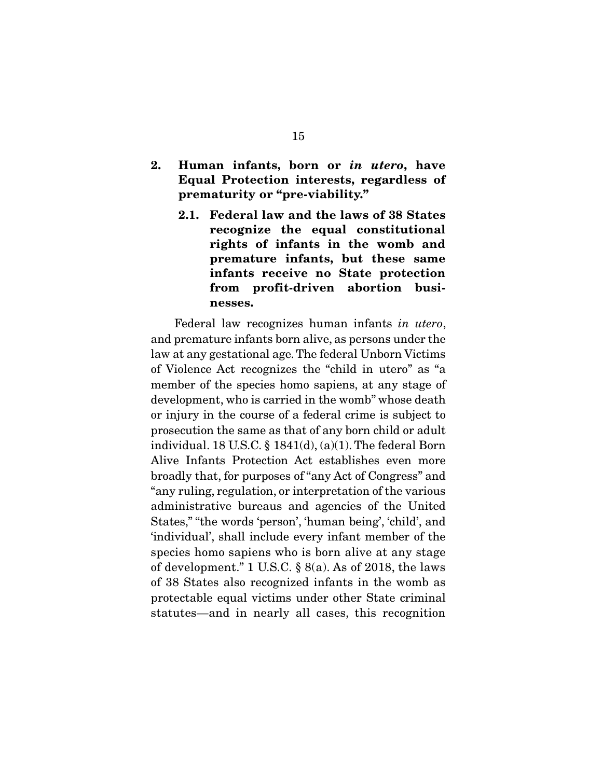- **2. Human infants, born or** *in utero***, have Equal Protection interests, regardless of prematurity or "pre-viability."** 
	- **2.1. Federal law and the laws of 38 States recognize the equal constitutional rights of infants in the womb and premature infants, but these same infants receive no State protection from profit-driven abortion businesses.**

Federal law recognizes human infants in utero, and premature infants born alive, as persons under the law at any gestational age. The federal Unborn Victims of Violence Act recognizes the "child in utero" as "a member of the species homo sapiens, at any stage of development, who is carried in the womb" whose death or injury in the course of a federal crime is subject to prosecution the same as that of any born child or adult individual. 18 U.S.C.  $\S$  1841(d), (a)(1). The federal Born Alive Infants Protection Act establishes even more broadly that, for purposes of "any Act of Congress" and "any ruling, regulation, or interpretation of the various administrative bureaus and agencies of the United States," "the words 'person', 'human being', 'child', and 'individual', shall include every infant member of the species homo sapiens who is born alive at any stage of development." 1 U.S.C. § 8(a). As of 2018, the laws of 38 States also recognized infants in the womb as protectable equal victims under other State criminal statutes—and in nearly all cases, this recognition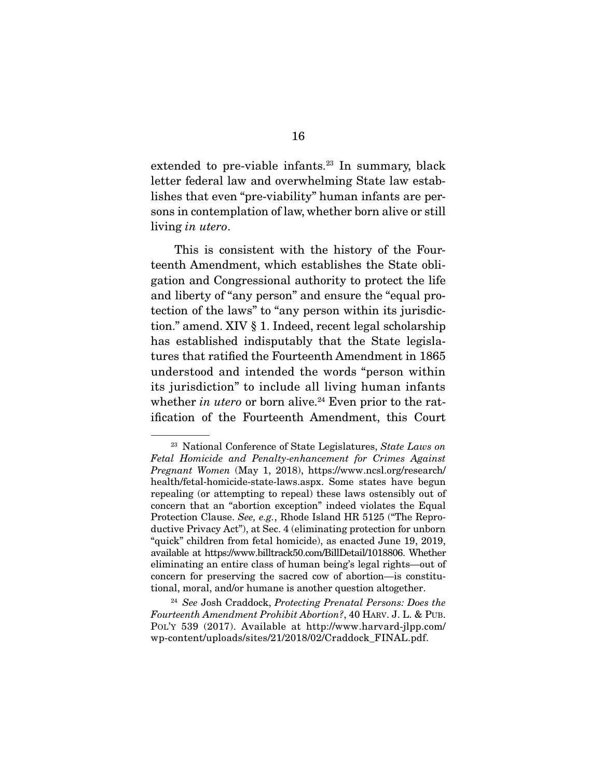extended to pre-viable infants.<sup>23</sup> In summary, black letter federal law and overwhelming State law establishes that even "pre-viability" human infants are persons in contemplation of law, whether born alive or still living in utero.

 This is consistent with the history of the Fourteenth Amendment, which establishes the State obligation and Congressional authority to protect the life and liberty of "any person" and ensure the "equal protection of the laws" to "any person within its jurisdiction." amend. XIV § 1. Indeed, recent legal scholarship has established indisputably that the State legislatures that ratified the Fourteenth Amendment in 1865 understood and intended the words "person within its jurisdiction" to include all living human infants whether in utero or born alive.<sup>24</sup> Even prior to the ratification of the Fourteenth Amendment, this Court

 $23$  National Conference of State Legislatures, State Laws on Fetal Homicide and Penalty-enhancement for Crimes Against Pregnant Women (May 1, 2018), https://www.ncsl.org/research/ health/fetal-homicide-state-laws.aspx. Some states have begun repealing (or attempting to repeal) these laws ostensibly out of concern that an "abortion exception" indeed violates the Equal Protection Clause. See, e.g., Rhode Island HR 5125 ("The Reproductive Privacy Act"), at Sec. 4 (eliminating protection for unborn "quick" children from fetal homicide), as enacted June 19, 2019, available at https://www.billtrack50.com/BillDetail/1018806. Whether eliminating an entire class of human being's legal rights—out of concern for preserving the sacred cow of abortion—is constitutional, moral, and/or humane is another question altogether.

<sup>&</sup>lt;sup>24</sup> See Josh Craddock, Protecting Prenatal Persons: Does the Fourteenth Amendment Prohibit Abortion?, 40 HARV. J. L. & PUB. POL'Y 539 (2017). Available at http://www.harvard-jlpp.com/ wp-content/uploads/sites/21/2018/02/Craddock\_FINAL.pdf.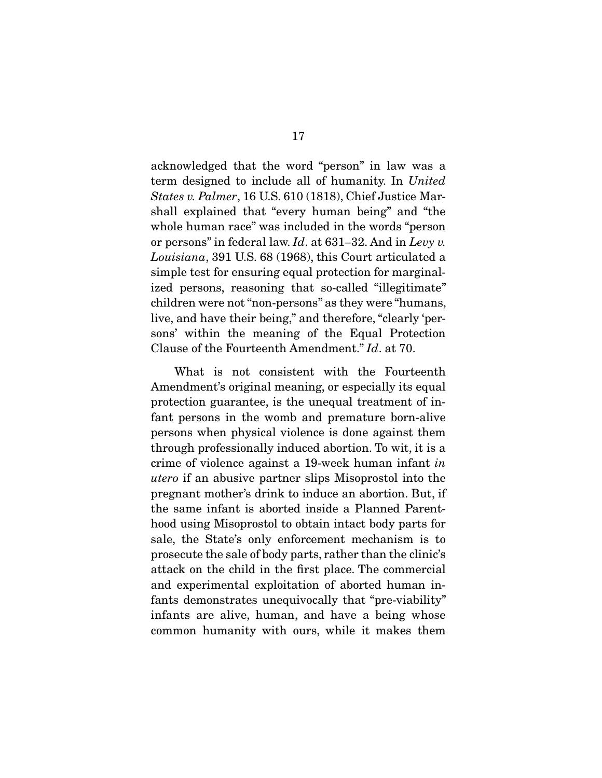acknowledged that the word "person" in law was a term designed to include all of humanity. In United States v. Palmer, 16 U.S. 610 (1818), Chief Justice Marshall explained that "every human being" and "the whole human race" was included in the words "person or persons" in federal law.  $Id$ . at 631–32. And in Levy v. Louisiana, 391 U.S. 68 (1968), this Court articulated a simple test for ensuring equal protection for marginalized persons, reasoning that so-called "illegitimate" children were not "non-persons" as they were "humans, live, and have their being," and therefore, "clearly 'persons' within the meaning of the Equal Protection Clause of the Fourteenth Amendment." Id. at 70.

 What is not consistent with the Fourteenth Amendment's original meaning, or especially its equal protection guarantee, is the unequal treatment of infant persons in the womb and premature born-alive persons when physical violence is done against them through professionally induced abortion. To wit, it is a crime of violence against a 19-week human infant in utero if an abusive partner slips Misoprostol into the pregnant mother's drink to induce an abortion. But, if the same infant is aborted inside a Planned Parenthood using Misoprostol to obtain intact body parts for sale, the State's only enforcement mechanism is to prosecute the sale of body parts, rather than the clinic's attack on the child in the first place. The commercial and experimental exploitation of aborted human infants demonstrates unequivocally that "pre-viability" infants are alive, human, and have a being whose common humanity with ours, while it makes them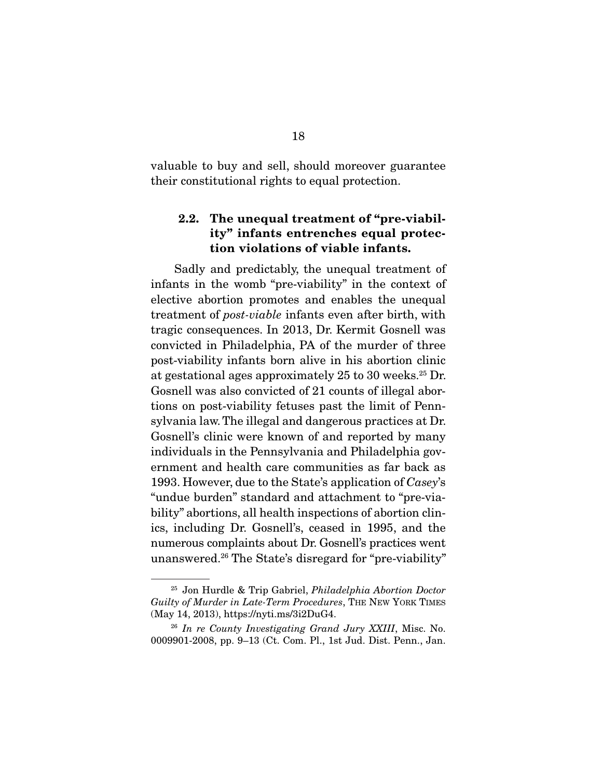valuable to buy and sell, should moreover guarantee their constitutional rights to equal protection.

# **2.2. The unequal treatment of "pre-viability" infants entrenches equal protection violations of viable infants.**

Sadly and predictably, the unequal treatment of infants in the womb "pre-viability" in the context of elective abortion promotes and enables the unequal treatment of post-viable infants even after birth, with tragic consequences. In 2013, Dr. Kermit Gosnell was convicted in Philadelphia, PA of the murder of three post-viability infants born alive in his abortion clinic at gestational ages approximately 25 to 30 weeks.25 Dr. Gosnell was also convicted of 21 counts of illegal abortions on post-viability fetuses past the limit of Pennsylvania law. The illegal and dangerous practices at Dr. Gosnell's clinic were known of and reported by many individuals in the Pennsylvania and Philadelphia government and health care communities as far back as 1993. However, due to the State's application of Casey's "undue burden" standard and attachment to "pre-viability" abortions, all health inspections of abortion clinics, including Dr. Gosnell's, ceased in 1995, and the numerous complaints about Dr. Gosnell's practices went unanswered.26 The State's disregard for "pre-viability"

<sup>25</sup> Jon Hurdle & Trip Gabriel, Philadelphia Abortion Doctor Guilty of Murder in Late-Term Procedures, THE NEW YORK TIMES (May 14, 2013), https://nyti.ms/3i2DuG4.

 $26$  In re County Investigating Grand Jury XXIII, Misc. No. 0009901-2008, pp. 9–13 (Ct. Com. Pl., 1st Jud. Dist. Penn., Jan.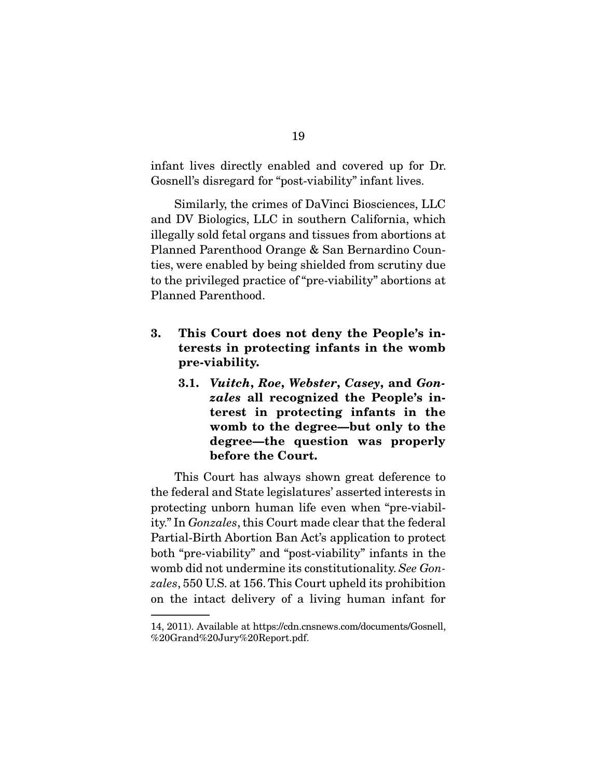infant lives directly enabled and covered up for Dr. Gosnell's disregard for "post-viability" infant lives.

 Similarly, the crimes of DaVinci Biosciences, LLC and DV Biologics, LLC in southern California, which illegally sold fetal organs and tissues from abortions at Planned Parenthood Orange & San Bernardino Counties, were enabled by being shielded from scrutiny due to the privileged practice of "pre-viability" abortions at Planned Parenthood.

- **3. This Court does not deny the People's interests in protecting infants in the womb pre-viability.** 
	- **3.1.** *Vuitch***,** *Roe***,** *Webster***,** *Casey***, and** *Gonzales* **all recognized the People's interest in protecting infants in the womb to the degree—but only to the degree—the question was properly before the Court.**

This Court has always shown great deference to the federal and State legislatures' asserted interests in protecting unborn human life even when "pre-viability." In Gonzales, this Court made clear that the federal Partial-Birth Abortion Ban Act's application to protect both "pre-viability" and "post-viability" infants in the womb did not undermine its constitutionality. See Gonzales, 550 U.S. at 156. This Court upheld its prohibition on the intact delivery of a living human infant for

<sup>14, 2011).</sup> Available at https://cdn.cnsnews.com/documents/Gosnell, %20Grand%20Jury%20Report.pdf.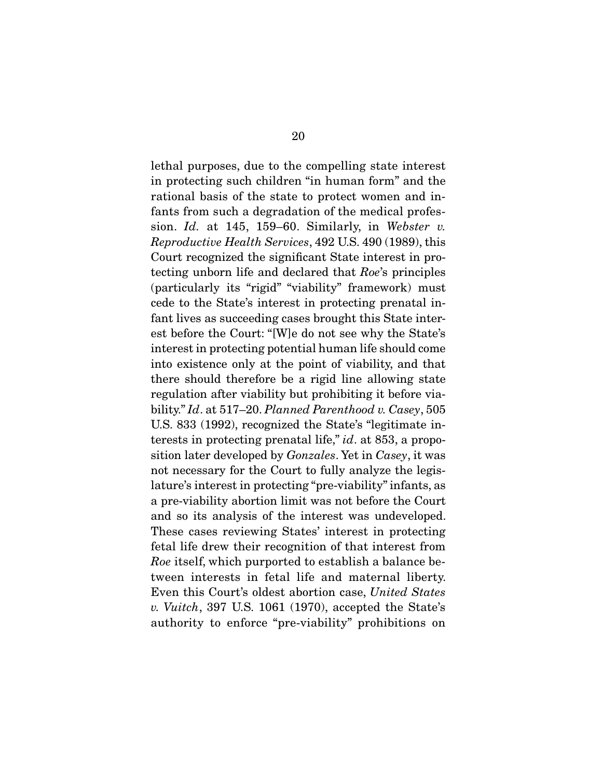lethal purposes, due to the compelling state interest in protecting such children "in human form" and the rational basis of the state to protect women and infants from such a degradation of the medical profession. Id. at 145, 159–60. Similarly, in Webster v. Reproductive Health Services, 492 U.S. 490 (1989), this Court recognized the significant State interest in protecting unborn life and declared that Roe's principles (particularly its "rigid" "viability" framework) must cede to the State's interest in protecting prenatal infant lives as succeeding cases brought this State interest before the Court: "[W]e do not see why the State's interest in protecting potential human life should come into existence only at the point of viability, and that there should therefore be a rigid line allowing state regulation after viability but prohibiting it before viability." Id. at 517–20. Planned Parenthood v. Casey, 505 U.S. 833 (1992), recognized the State's "legitimate interests in protecting prenatal life," *id.* at 853, a proposition later developed by Gonzales. Yet in Casey, it was not necessary for the Court to fully analyze the legislature's interest in protecting "pre-viability" infants, as a pre-viability abortion limit was not before the Court and so its analysis of the interest was undeveloped. These cases reviewing States' interest in protecting fetal life drew their recognition of that interest from Roe itself, which purported to establish a balance between interests in fetal life and maternal liberty. Even this Court's oldest abortion case, United States v. Vuitch, 397 U.S. 1061 (1970), accepted the State's authority to enforce "pre-viability" prohibitions on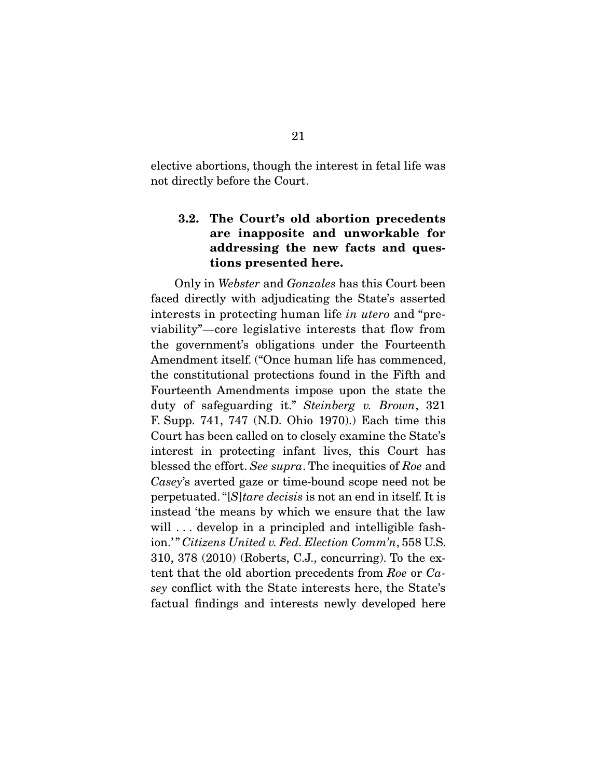elective abortions, though the interest in fetal life was not directly before the Court.

# **3.2. The Court's old abortion precedents are inapposite and unworkable for addressing the new facts and questions presented here.**

Only in Webster and Gonzales has this Court been faced directly with adjudicating the State's asserted interests in protecting human life in utero and "previability"—core legislative interests that flow from the government's obligations under the Fourteenth Amendment itself. ("Once human life has commenced, the constitutional protections found in the Fifth and Fourteenth Amendments impose upon the state the duty of safeguarding it." Steinberg v. Brown, 321 F. Supp. 741, 747 (N.D. Ohio 1970).) Each time this Court has been called on to closely examine the State's interest in protecting infant lives, this Court has blessed the effort. See supra. The inequities of Roe and Casey's averted gaze or time-bound scope need not be perpetuated. "[S]tare decisis is not an end in itself. It is instead 'the means by which we ensure that the law will ... develop in a principled and intelligible fashion.'" Citizens United v. Fed. Election Comm'n, 558 U.S. 310, 378 (2010) (Roberts, C.J., concurring). To the extent that the old abortion precedents from Roe or Casey conflict with the State interests here, the State's factual findings and interests newly developed here